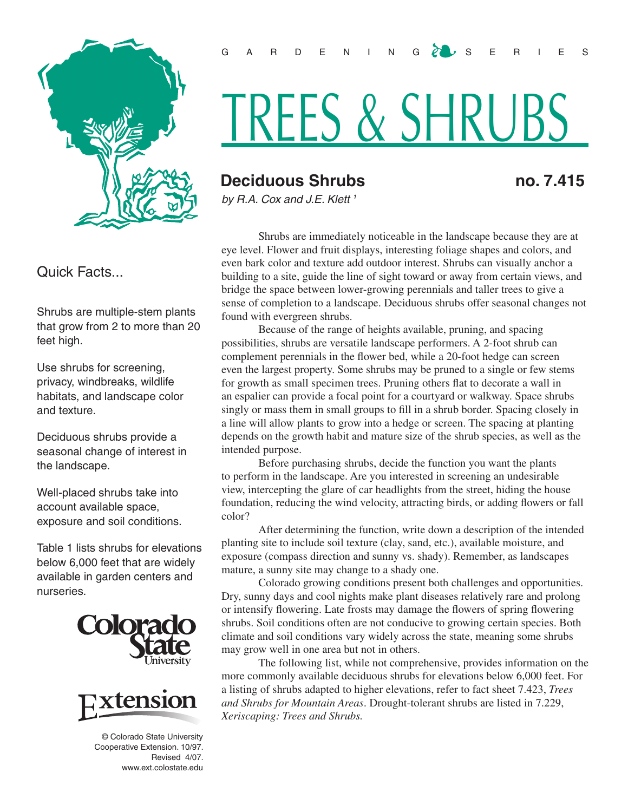

Quick Facts...

Shrubs are multiple-stem plants that grow from 2 to more than 20 feet high.

Use shrubs for screening, privacy, windbreaks, wildlife habitats, and landscape color and texture.

Deciduous shrubs provide a seasonal change of interest in the landscape.

Well-placed shrubs take into account available space, exposure and soil conditions.

Table 1 lists shrubs for elevations below 6,000 feet that are widely available in garden centers and nurseries.





© Colorado State University Cooperative Extension. 10/97. Revised 4/07. www.ext.colostate.edu

## TREES & SHRUBS

## **Deciduous Shrubs no. 7.415**

*by R.A. Cox and J.E. Klett 1*

Shrubs are immediately noticeable in the landscape because they are at eye level. Flower and fruit displays, interesting foliage shapes and colors, and even bark color and texture add outdoor interest. Shrubs can visually anchor a building to a site, guide the line of sight toward or away from certain views, and bridge the space between lower-growing perennials and taller trees to give a sense of completion to a landscape. Deciduous shrubs offer seasonal changes not found with evergreen shrubs.

Because of the range of heights available, pruning, and spacing possibilities, shrubs are versatile landscape performers. A 2-foot shrub can complement perennials in the flower bed, while a 20-foot hedge can screen even the largest property. Some shrubs may be pruned to a single or few stems for growth as small specimen trees. Pruning others flat to decorate a wall in an espalier can provide a focal point for a courtyard or walkway. Space shrubs singly or mass them in small groups to fill in a shrub border. Spacing closely in a line will allow plants to grow into a hedge or screen. The spacing at planting depends on the growth habit and mature size of the shrub species, as well as the intended purpose.

Before purchasing shrubs, decide the function you want the plants to perform in the landscape. Are you interested in screening an undesirable view, intercepting the glare of car headlights from the street, hiding the house foundation, reducing the wind velocity, attracting birds, or adding flowers or fall color?

After determining the function, write down a description of the intended planting site to include soil texture (clay, sand, etc.), available moisture, and exposure (compass direction and sunny vs. shady). Remember, as landscapes mature, a sunny site may change to a shady one.

Colorado growing conditions present both challenges and opportunities. Dry, sunny days and cool nights make plant diseases relatively rare and prolong or intensify flowering. Late frosts may damage the flowers of spring flowering shrubs. Soil conditions often are not conducive to growing certain species. Both climate and soil conditions vary widely across the state, meaning some shrubs may grow well in one area but not in others.

The following list, while not comprehensive, provides information on the more commonly available deciduous shrubs for elevations below 6,000 feet. For a listing of shrubs adapted to higher elevations, refer to fact sheet 7.423, *Trees and Shrubs for Mountain Areas*. Drought-tolerant shrubs are listed in 7.229, *Xeriscaping: Trees and Shrubs.*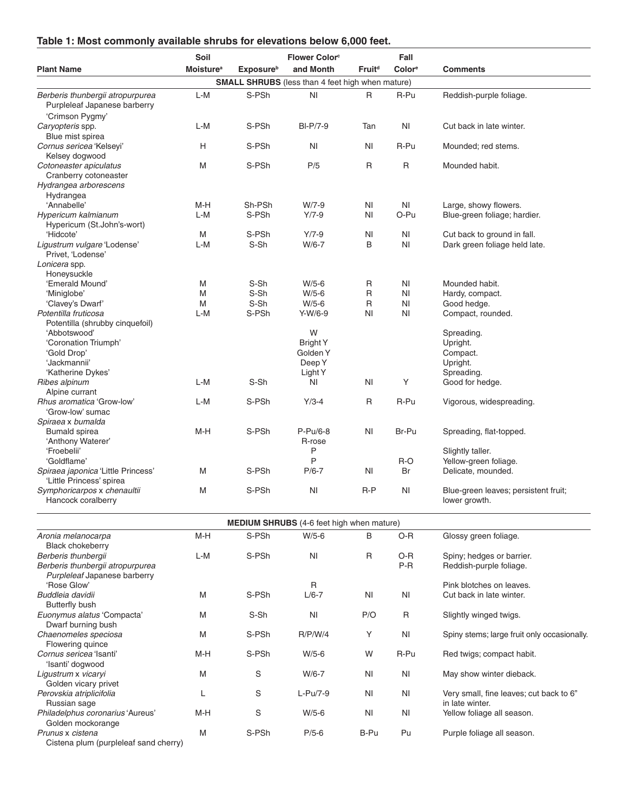## **Table 1: Most commonly available shrubs for elevations below 6,000 feet.**

|                                                                                         | Soil                         |                   | <b>Flower Color</b> <sup>c</sup>                        |                    | Fall           |                                                            |  |  |
|-----------------------------------------------------------------------------------------|------------------------------|-------------------|---------------------------------------------------------|--------------------|----------------|------------------------------------------------------------|--|--|
| <b>Plant Name</b>                                                                       | <b>Moisture</b> <sup>a</sup> | <b>Exposure</b> b | and Month                                               | Fruit <sup>d</sup> | Colore         | <b>Comments</b>                                            |  |  |
|                                                                                         |                              |                   | <b>SMALL SHRUBS</b> (less than 4 feet high when mature) |                    |                |                                                            |  |  |
| Berberis thunbergii atropurpurea<br>Purpleleaf Japanese barberry                        | L-M                          | S-PSh             | N <sub>1</sub>                                          | R                  | R-Pu           | Reddish-purple foliage.                                    |  |  |
| 'Crimson Pygmy'<br>Caryopteris spp.                                                     | L-M                          | S-PSh             | <b>BI-P/7-9</b>                                         | Tan                | N <sub>1</sub> | Cut back in late winter.                                   |  |  |
| Blue mist spirea<br>Cornus sericea 'Kelseyi'                                            | H                            | S-PSh             | N <sub>1</sub>                                          | ΝI                 | R-Pu           | Mounded; red stems.                                        |  |  |
| Kelsey dogwood<br>Cotoneaster apiculatus<br>Cranberry cotoneaster                       | M                            | S-PSh             | P/5                                                     | R                  | $\mathsf{R}$   | Mounded habit.                                             |  |  |
| Hydrangea arborescens<br>Hydrangea                                                      |                              |                   |                                                         |                    |                |                                                            |  |  |
| 'Annabelle'                                                                             | M-H                          | Sh-PSh            | $W/7-9$                                                 | ΝI                 | ΝI             | Large, showy flowers.                                      |  |  |
| Hypericum kalmianum<br>Hypericum (St.John's-wort)                                       | L-M                          | S-PSh             | $Y/7 - 9$                                               | ΝI                 | O-Pu           | Blue-green foliage; hardier.                               |  |  |
| 'Hidcote'                                                                               | M                            | S-PSh             | $Y/7-9$                                                 | ΝI                 | ΝI             | Cut back to ground in fall.                                |  |  |
| Ligustrum vulgare 'Lodense'<br>Privet, 'Lodense'<br>Lonicera spp.                       | L-M                          | S-Sh              | $W/6-7$                                                 | B                  | N <sub>1</sub> | Dark green foliage held late.                              |  |  |
| Honeysuckle                                                                             |                              |                   |                                                         |                    |                |                                                            |  |  |
| 'Emerald Mound'                                                                         | M                            | S-Sh              | $W/5-6$                                                 | R                  | ΝI             | Mounded habit.                                             |  |  |
| 'Miniglobe'                                                                             | M                            | S-Sh              | $W/5-6$                                                 | R                  | N <sub>l</sub> | Hardy, compact.                                            |  |  |
| 'Clavey's Dwarf'                                                                        | M                            | S-Sh              | $W/5-6$                                                 | R                  | ΝI             | Good hedge.                                                |  |  |
| Potentilla fruticosa<br>Potentilla (shrubby cinquefoil)                                 | L-M                          | S-PSh             | Y-W/6-9                                                 | <b>NI</b>          | ΝI             | Compact, rounded.                                          |  |  |
| 'Abbotswood'                                                                            |                              |                   | W                                                       |                    |                | Spreading.                                                 |  |  |
| 'Coronation Triumph'                                                                    |                              |                   | <b>Bright Y</b><br>Golden Y                             |                    |                | Upright.                                                   |  |  |
| 'Gold Drop'<br>'Jackmannii'                                                             |                              |                   | Deep Y                                                  |                    |                | Compact.<br>Upright.                                       |  |  |
| 'Katherine Dykes'                                                                       |                              |                   | Light Y                                                 |                    |                | Spreading.                                                 |  |  |
| Ribes alpinum<br>Alpine currant                                                         | L-M                          | S-Sh              | N <sub>1</sub>                                          | ΝI                 | Y              | Good for hedge.                                            |  |  |
| Rhus aromatica 'Grow-low'<br>'Grow-low' sumac                                           | L-M                          | S-PSh             | $Y/3-4$                                                 | R                  | R-Pu           | Vigorous, widespreading.                                   |  |  |
| Spiraea x bumalda<br>Bumald spirea<br>'Anthony Waterer'                                 | M-H                          | S-PSh             | $P-Pu/6-8$<br>R-rose                                    | ΝI                 | Br-Pu          | Spreading, flat-topped.                                    |  |  |
| 'Froebelii'                                                                             |                              |                   | P                                                       |                    |                | Slightly taller.                                           |  |  |
| 'Goldflame'                                                                             |                              |                   | P                                                       |                    | R-O            | Yellow-green foliage.                                      |  |  |
| Spiraea japonica 'Little Princess'<br>'Little Princess' spirea                          | M                            | S-PSh             | $P/6-7$                                                 | ΝI                 | Br             | Delicate, mounded.                                         |  |  |
| Symphoricarpos x chenaultii<br>Hancock coralberry                                       | M                            | S-PSh             | N <sub>l</sub>                                          | $R-P$              | N <sub>1</sub> | Blue-green leaves; persistent fruit;<br>lower growth.      |  |  |
| <b>MEDIUM SHRUBS</b> (4-6 feet high when mature)                                        |                              |                   |                                                         |                    |                |                                                            |  |  |
| Aronia melanocarpa                                                                      | $M-H$                        | S-PSh             | $W/5-6$                                                 | B                  | O-R            | Glossy green foliage.                                      |  |  |
| <b>Black chokeberry</b>                                                                 |                              |                   |                                                         |                    |                |                                                            |  |  |
| Berberis thunbergii<br>Berberis thunbergii atropurpurea<br>Purpleleaf Japanese barberry | $L-M$                        | S-PSh             | N <sub>l</sub>                                          | R                  | O-R<br>P-R     | Spiny; hedges or barrier.<br>Reddish-purple foliage.       |  |  |
| 'Rose Glow'                                                                             |                              |                   | R                                                       |                    |                | Pink blotches on leaves.                                   |  |  |
| Buddleia davidii<br>Butterfly bush                                                      | M                            | S-PSh             | $L/6-7$                                                 | N <sub>1</sub>     | <b>NI</b>      | Cut back in late winter.                                   |  |  |
| Euonymus alatus 'Compacta'<br>Dwarf burning bush                                        | M                            | S-Sh              | N <sub>l</sub>                                          | P/O                | R              | Slightly winged twigs.                                     |  |  |
| Chaenomeles speciosa<br>Flowering quince                                                | M                            | S-PSh             | <b>R/P/W/4</b>                                          | Υ                  | N <sub>l</sub> | Spiny stems; large fruit only occasionally.                |  |  |
| Cornus sericea 'Isanti'<br>'Isanti' dogwood                                             | $M-H$                        | S-PSh             | $W/5-6$                                                 | W                  | R-Pu           | Red twigs; compact habit.                                  |  |  |
| Ligustrum x vicaryi<br>Golden vicary privet                                             | M                            | S                 | $W/6-7$                                                 | ΝI                 | NI             | May show winter dieback.                                   |  |  |
| Perovskia atriplicifolia<br>Russian sage                                                | L                            | S                 | L-Pu/7-9                                                | ΝI                 | <b>NI</b>      | Very small, fine leaves; cut back to 6"<br>in late winter. |  |  |
| Philadelphus coronarius 'Aureus'<br>Golden mockorange                                   | M-H                          | S                 | $W/5-6$                                                 | ΝI                 | NI             | Yellow foliage all season.                                 |  |  |
| Prunus x cistena<br>Cistena plum (purpleleaf sand cherry)                               | M                            | S-PSh             | $P/5-6$                                                 | B-Pu               | Pu             | Purple foliage all season.                                 |  |  |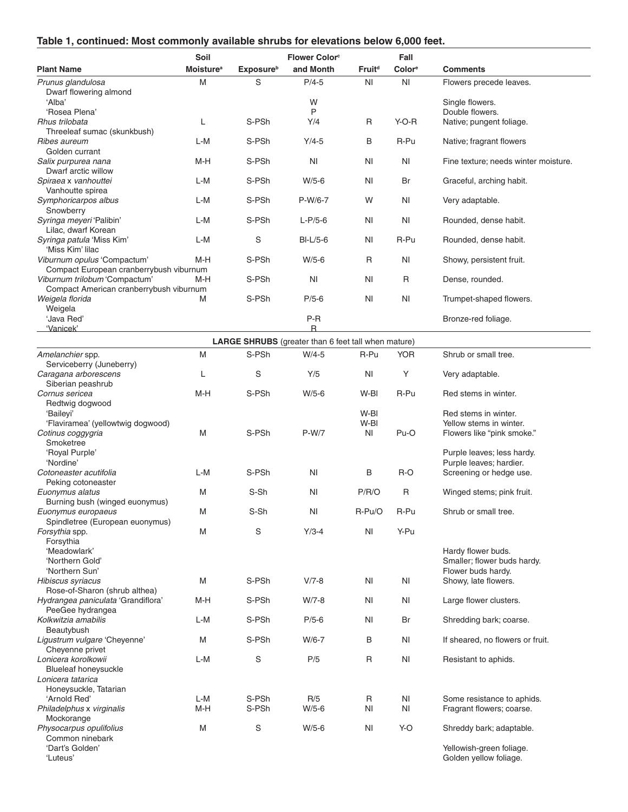|  |  |  | Table 1, continued: Most commonly available shrubs for elevations below 6,000 feet. |  |  |
|--|--|--|-------------------------------------------------------------------------------------|--|--|
|  |  |  |                                                                                     |  |  |

|                                                            | Soil                         |                              | <b>Flower Color</b> <sup>c</sup>                           |                    | Fall               |                                      |
|------------------------------------------------------------|------------------------------|------------------------------|------------------------------------------------------------|--------------------|--------------------|--------------------------------------|
| <b>Plant Name</b>                                          | <b>Moisture</b> <sup>a</sup> | <b>Exposure</b> <sup>b</sup> | and Month                                                  | Fruit <sup>d</sup> | Color <sup>e</sup> | <b>Comments</b>                      |
| Prunus glandulosa                                          | M                            | S                            | $P/4-5$                                                    | N <sub>1</sub>     | N <sub>1</sub>     | Flowers precede leaves.              |
| Dwarf flowering almond                                     |                              |                              |                                                            |                    |                    |                                      |
| 'Alba'                                                     |                              |                              | W                                                          |                    |                    | Single flowers.                      |
| 'Rosea Plena'                                              |                              |                              | P                                                          |                    |                    | Double flowers.                      |
| Rhus trilobata                                             | L                            | S-PSh                        | Y/4                                                        | R                  | $Y-O-R$            | Native; pungent foliage.             |
| Threeleaf sumac (skunkbush)                                |                              |                              |                                                            |                    |                    |                                      |
| Ribes aureum                                               | L-M                          | S-PSh                        | $Y/4-5$                                                    | B                  | R-Pu               | Native; fragrant flowers             |
| Golden currant                                             |                              |                              |                                                            |                    |                    |                                      |
| Salix purpurea nana                                        | M-H                          | S-PSh                        | ΝI                                                         | ΝI                 | ΝI                 | Fine texture; needs winter moisture. |
| Dwarf arctic willow                                        |                              |                              |                                                            |                    |                    |                                      |
| Spiraea x vanhouttei                                       | L-M                          | S-PSh                        | $W/5-6$                                                    | ΝI                 | Br                 | Graceful, arching habit.             |
| Vanhoutte spirea                                           |                              |                              |                                                            |                    |                    |                                      |
| Symphoricarpos albus                                       | L-M                          | S-PSh                        | P-W/6-7                                                    | W                  | N <sub>1</sub>     | Very adaptable.                      |
| Snowberry                                                  |                              |                              |                                                            |                    |                    |                                      |
| Syringa meyeri 'Palibin'                                   | L-M                          | S-PSh                        | $L-P/5-6$                                                  | N <sub>l</sub>     | ΝI                 | Rounded, dense habit.                |
| Lilac, dwarf Korean                                        |                              |                              |                                                            |                    |                    |                                      |
| Syringa patula 'Miss Kim'                                  | L-M                          | S                            | $BI-L/5-6$                                                 | <b>NI</b>          | R-Pu               | Rounded, dense habit.                |
| 'Miss Kim' lilac                                           |                              |                              |                                                            |                    |                    |                                      |
| Viburnum opulus 'Compactum'                                | M-H                          | S-PSh                        | $W/5-6$                                                    | R                  | ΝI                 | Showy, persistent fruit.             |
| Compact European cranberrybush viburnum                    |                              |                              |                                                            |                    |                    |                                      |
| Viburnum trilobum 'Compactum'                              | M-H                          | S-PSh                        | ΝI                                                         | ΝI                 | R                  | Dense, rounded.                      |
| Compact American cranberrybush viburnum<br>Weigela florida | M                            | S-PSh                        | $P/5-6$                                                    | ΝI                 | N <sub>1</sub>     | Trumpet-shaped flowers.              |
|                                                            |                              |                              |                                                            |                    |                    |                                      |
| Weigela<br>'Java Red'                                      |                              |                              | P-R                                                        |                    |                    | Bronze-red foliage.                  |
| 'Vanicek'                                                  |                              |                              | R                                                          |                    |                    |                                      |
|                                                            |                              |                              |                                                            |                    |                    |                                      |
|                                                            |                              |                              | <b>LARGE SHRUBS</b> (greater than 6 feet tall when mature) |                    |                    |                                      |
| Amelanchier spp.                                           | M                            | S-PSh                        | $W/4-5$                                                    | R-Pu               | <b>YOR</b>         | Shrub or small tree.                 |
| Serviceberry (Juneberry)                                   |                              |                              |                                                            |                    |                    |                                      |
| Caragana arborescens                                       | L                            | S                            | Y/5                                                        | N <sub>l</sub>     | Υ                  | Very adaptable.                      |
| Siberian peashrub<br>Cornus sericea                        | M-H                          | S-PSh                        | $W/5-6$                                                    | W-BI               | R-Pu               | Red stems in winter.                 |
| Redtwig dogwood                                            |                              |                              |                                                            |                    |                    |                                      |
| 'Baileyi'                                                  |                              |                              |                                                            | W-BI               |                    | Red stems in winter.                 |
| 'Flaviramea' (yellowtwig dogwood)                          |                              |                              |                                                            | W-BI               |                    | Yellow stems in winter.              |
| Cotinus coggygria                                          | M                            | S-PSh                        | P-W/7                                                      | NI                 | Pu-O               | Flowers like "pink smoke."           |
| Smoketree                                                  |                              |                              |                                                            |                    |                    |                                      |
| 'Royal Purple'                                             |                              |                              |                                                            |                    |                    | Purple leaves; less hardy.           |
| 'Nordine'                                                  |                              |                              |                                                            |                    |                    | Purple leaves; hardier.              |
| Cotoneaster acutifolia                                     | L-M                          | S-PSh                        | N <sub>1</sub>                                             | В                  | R-O                | Screening or hedge use.              |
| Peking cotoneaster                                         |                              |                              |                                                            |                    |                    |                                      |
| Euonymus alatus                                            | M                            | S-Sh                         | ΝI                                                         | P/R/O              | R                  | Winged stems; pink fruit.            |
| Burning bush (winged euonymus)                             |                              |                              |                                                            |                    |                    |                                      |
| Euonymus europaeus                                         | M                            | S-Sh                         | ΝI                                                         | R-Pu/O             | R-Pu               | Shrub or small tree.                 |
| Spindletree (European euonymus)                            |                              |                              |                                                            |                    |                    |                                      |
| Forsythia spp.                                             | M                            | S                            | $Y/3-4$                                                    | N <sub>1</sub>     | Y-Pu               |                                      |
| Forsythia                                                  |                              |                              |                                                            |                    |                    |                                      |
| 'Meadowlark'                                               |                              |                              |                                                            |                    |                    | Hardy flower buds.                   |
| 'Northern Gold'                                            |                              |                              |                                                            |                    |                    | Smaller; flower buds hardy.          |
| 'Northern Sun'                                             |                              |                              |                                                            |                    |                    | Flower buds hardy.                   |
| Hibiscus syriacus                                          | M                            | S-PSh                        | $V/7 - 8$                                                  | ΝI                 | NI                 | Showy, late flowers.                 |
| Rose-of-Sharon (shrub althea)                              |                              |                              |                                                            |                    |                    |                                      |
| Hydrangea paniculata 'Grandiflora'                         | M-H                          | S-PSh                        | $W/7-8$                                                    | <b>NI</b>          | ΝI                 | Large flower clusters.               |
| PeeGee hydrangea                                           |                              |                              |                                                            |                    |                    |                                      |
| Kolkwitzia amabilis<br>Beautybush                          | L-M                          | S-PSh                        | $P/5-6$                                                    | N <sub>l</sub>     | Br                 | Shredding bark; coarse.              |
| Ligustrum vulgare 'Cheyenne'                               | M                            | S-PSh                        | W/6-7                                                      | B                  | N <sub>l</sub>     | If sheared, no flowers or fruit.     |
| Cheyenne privet                                            |                              |                              |                                                            |                    |                    |                                      |
| Lonicera korolkowii                                        | L-M                          | S                            | P/5                                                        | R                  | ΝI                 | Resistant to aphids.                 |
| <b>Blueleaf honeysuckle</b>                                |                              |                              |                                                            |                    |                    |                                      |
| Lonicera tatarica                                          |                              |                              |                                                            |                    |                    |                                      |
| Honeysuckle, Tatarian                                      |                              |                              |                                                            |                    |                    |                                      |
| 'Arnold Red'                                               | L-M                          | S-PSh                        | R/5                                                        | R                  | NI                 | Some resistance to aphids.           |
| Philadelphus x virginalis                                  | M-H                          | S-PSh                        | $W/5-6$                                                    | ΝI                 | ΝI                 | Fragrant flowers; coarse.            |
| Mockorange                                                 |                              |                              |                                                            |                    |                    |                                      |
| Physocarpus opulifolius                                    | M                            | S                            | $W/5-6$                                                    | ΝI                 | Y-O                | Shreddy bark; adaptable.             |
| Common ninebark                                            |                              |                              |                                                            |                    |                    |                                      |
| 'Dart's Golden'                                            |                              |                              |                                                            |                    |                    | Yellowish-green foliage.             |
| 'Luteus'                                                   |                              |                              |                                                            |                    |                    | Golden yellow foliage.               |